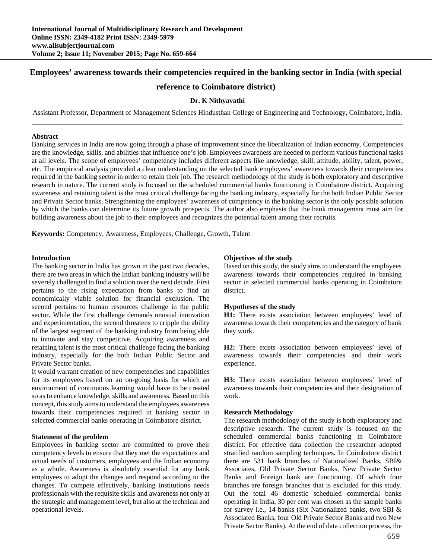# **Employees' awareness towards their competencies required in the banking sector in India (with special**

# **reference to Coimbatore district)**

# **Dr. K Nithyavathi**

Assistant Professor, Department of Management Sciences Hindusthan College of Engineering and Technology, Coimbatore, India.

#### **Abstract**

Banking services in India are now going through a phase of improvement since the liberalization of Indian economy. Competencies are the knowledge, skills, and abilities that influence one's job. Employees awareness are needed to perform various functional tasks at all levels. The scope of employees' competency includes different aspects like knowledge, skill, attitude, ability, talent, power, etc. The empirical analysis provided a clear understanding on the selected bank employees' awareness towards their competencies required in the banking sector in order to retain their job. The research methodology of the study is both exploratory and descriptive research in nature. The current study is focused on the scheduled commercial banks functioning in Coimbatore district. Acquiring awareness and retaining talent is the most critical challenge facing the banking industry, especially for the both Indian Public Sector and Private Sector banks. Strengthening the employees' awareness of competency in the banking sector is the only possible solution by which the banks can determine its future growth prospects. The author also emphasis that the bank management must aim for building awareness about the job to their employees and recognizes the potential talent among their recruits.

**Keywords:** Competency, Awareness, Employees, Challenge, Growth, Talent

#### **Introduction**

The banking sector in India has grown in the past two decades, there are two areas in which the Indian banking industry will be severely challenged to find a solution over the next decade. First pertains to the rising expectation from banks to find an economically viable solution for financial exclusion. The second pertains to human resources challenge in the public sector. While the first challenge demands unusual innovation and experimentation, the second threatens to cripple the ability of the largest segment of the banking industry from being able to innovate and stay competitive. Acquiring awareness and retaining talent is the most critical challenge facing the banking industry, especially for the both Indian Public Sector and Private Sector banks.

It would warrant creation of new competencies and capabilities for its employees based on an on-going basis for which an environment of continuous learning would have to be created so as to enhance knowledge, skills and awareness. Based on this concept, this study aims to understand the employees awareness towards their competencies required in banking sector in selected commercial banks operating in Coimbatore district.

### **Statement of the problem**

Employees in banking sector are committed to prove their competency levels to ensure that they met the expectations and actual needs of customers, employees and the Indian economy as a whole. Awareness is absolutely essential for any bank employees to adopt the changes and respond according to the changes. To compete effectively, banking institutions needs professionals with the requisite skills and awareness not only at the strategic and management level, but also at the technical and operational levels.

# **Objectives of the study**

Based on this study, the study aims to understand the employees awareness towards their competencies required in banking sector in selected commercial banks operating in Coimbatore district.

### **Hypotheses of the study**

**H1:** There exists association between employees' level of awareness towards their competencies and the category of bank they work.

**H2:** There exists association between employees' level of awareness towards their competencies and their work experience.

**H3:** There exists association between employees' level of awareness towards their competencies and their designation of work.

### **Research Methodology**

The research methodology of the study is both exploratory and descriptive research. The current study is focused on the scheduled commercial banks functioning in Coimbatore district. For effective data collection the researcher adopted stratified random sampling techniques. In Coimbatore district there are 531 bank branches of Nationalized Banks, SBI& Associates, Old Private Sector Banks, New Private Sector Banks and Foreign bank are functioning. Of which four branches are foreign branches that is excluded for this study. Out the total 46 domestic scheduled commercial banks operating in India, 30 per cent was chosen as the sample banks for survey i.e., 14 banks (Six Nationalized banks, two SBI & Associated Banks, four Old Private Sector Banks and two New Private Sector Banks). At the end of data collection process, the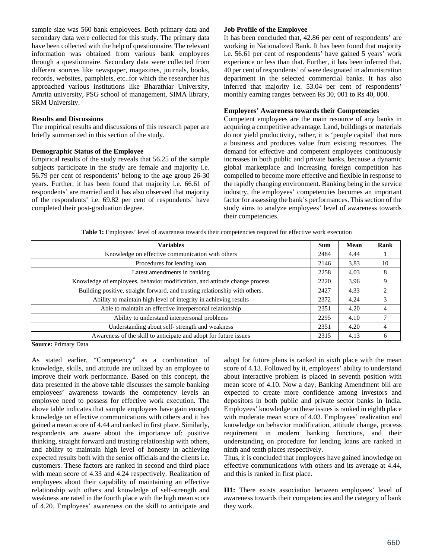sample size was 560 bank employees. Both primary data and secondary data were collected for this study. The primary data have been collected with the help of questionnaire. The relevant information was obtained from various bank employees through a questionnaire. Secondary data were collected from different sources like newspaper, magazines, journals, books, records, websites, pamphlets, etc..for which the researcher has approached various institutions like Bharathiar University, Amrita university, PSG school of management, SIMA library, SRM University.

#### **Results and Discussions**

The empirical results and discussions of this research paper are briefly summarized in this section of the study.

## **Demographic Status of the Employee**

Empirical results of the study reveals that 56.25 of the sample subjects participate in the study are female and majority i.e. 56.79 per cent of respondents' belong to the age group 26-30 years. Further, it has been found that majority i.e. 66.61 of respondents' are married and it has also observed that majority of the respondents' i.e. 69.82 per cent of respondents' have completed their post-graduation degree.

## **Job Profile of the Employee**

It has been concluded that, 42.86 per cent of respondents' are working in Nationalized Bank. It has been found that majority i.e. 56.61 per cent of respondents' have gained 5 years' work experience or less than that. Further, it has been inferred that, 40 per cent of respondents' of were designated in administration department in the selected commercial banks. It has also inferred that majority i.e. 53.04 per cent of respondents' monthly earning ranges between Rs 30, 001 to Rs 40, 000.

#### **Employees' Awareness towards their Competencies**

Competent employees are the main resource of any banks in acquiring a competitive advantage. Land, buildings or materials do not yield productivity, rather, it is 'people capital' that runs a business and produces value from existing resources. The demand for effective and competent employees continuously increases in both public and private banks, because a dynamic global marketplace and increasing foreign competition has compelled to become more effective and flexible in response to the rapidly changing environment. Banking being in the service industry, the employees' competencies becomes an important factor for assessing the bank's performances. This section of the study aims to analyze employees' level of awareness towards their competencies.

**Table 1:** Employees' level of awareness towards their competencies required for effective work execution

| Variables                                                                   | <b>Sum</b> | Mean | Rank |
|-----------------------------------------------------------------------------|------------|------|------|
| Knowledge on effective communication with others                            | 2484       | 4.44 |      |
| Procedures for lending loan                                                 | 2146       | 3.83 | 10   |
| Latest amendments in banking                                                | 2258       | 4.03 | 8    |
| Knowledge of employees, behavior modification, and attitude change process  | 2220       | 3.96 | 9    |
| Building positive, straight forward, and trusting relationship with others. | 2427       | 4.33 | 2    |
| Ability to maintain high level of integrity in achieving results            | 2372       | 4.24 | 3    |
| Able to maintain an effective interpersonal relationship                    | 2351       | 4.20 | 4    |
| Ability to understand interpersonal problems                                | 2295       | 4.10 |      |
| Understanding about self-strength and weakness                              | 2351       | 4.20 | 4    |
| Awareness of the skill to anticipate and adopt for future issues            | 2315       | 4.13 | 6    |

**Source:** Primary Data

As stated earlier, "Competency" as a combination of knowledge, skills, and attitude are utilized by an employee to improve their work performance. Based on this concept, the data presented in the above table discusses the sample banking employees' awareness towards the competency levels an employee need to possess for effective work execution. The above table indicates that sample employees have gain enough knowledge on effective communications with others and it has gained a mean score of 4.44 and ranked in first place. Similarly, respondents are aware about the importance of: positive thinking, straight forward and trusting relationship with others, and ability to maintain high level of honesty in achieving expected results both with the senior officials and the clients i.e. customers. These factors are ranked in second and third place with mean score of 4.33 and 4.24 respectively. Realization of employees about their capability of maintaining an effective relationship with others and knowledge of self-strength and weakness are rated in the fourth place with the high mean score of 4.20. Employees' awareness on the skill to anticipate and

adopt for future plans is ranked in sixth place with the mean score of 4.13. Followed by it, employees' ability to understand about interactive problem is placed in seventh position with mean score of 4.10. Now a day, Banking Amendment bill are expected to create more confidence among investors and depositors in both public and private sector banks in India. Employees' knowledge on these issues is ranked in eighth place with moderate mean score of 4.03. Employees' realization and knowledge on behavior modification, attitude change, process requirement in modern banking functions, and their understanding on procedure for lending loans are ranked in ninth and tenth places respectively.

Thus, it is concluded that employees have gained knowledge on effective communications with others and its average at 4.44, and this is ranked in first place.

**H1:** There exists association between employees' level of awareness towards their competencies and the category of bank they work.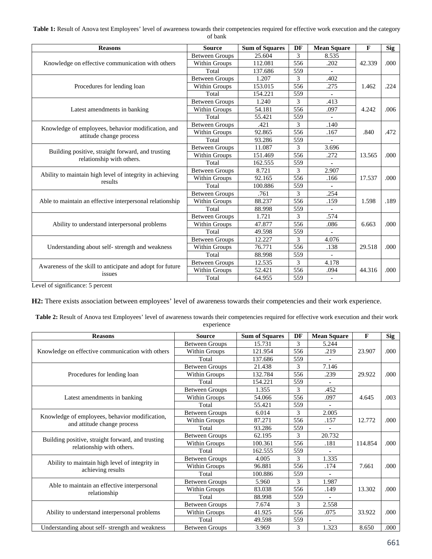Table 1: Result of Anova test Employees' level of awareness towards their competencies required for effective work execution and the category of bank

| <b>Reasons</b>                                                                 | <b>Source</b>         | <b>Sum of Squares</b> | DF  | <b>Mean Square</b>       | F      | Sig   |
|--------------------------------------------------------------------------------|-----------------------|-----------------------|-----|--------------------------|--------|-------|
|                                                                                | <b>Between Groups</b> | 25.604                | 3   | 8.535                    |        |       |
| Knowledge on effective communication with others                               | Within Groups         | 112.081               | 556 | .202                     | 42.339 | .000. |
|                                                                                | Total                 | 137.686               | 559 | $\blacksquare$           |        |       |
|                                                                                | <b>Between Groups</b> | 1.207                 | 3   | .402                     |        |       |
| Procedures for lending loan                                                    | Within Groups         | 153.015               | 556 | .275                     | 1.462  | .224  |
|                                                                                | Total                 | 154.221               | 559 | $\blacksquare$           |        |       |
|                                                                                | <b>Between Groups</b> | 1.240                 | 3   | .413                     |        |       |
| Latest amendments in banking                                                   | <b>Within Groups</b>  | 54.181                | 556 | .097                     | 4.242  | .006  |
|                                                                                | Total                 | 55.421                | 559 | ä,                       |        |       |
|                                                                                | <b>Between Groups</b> | .421                  | 3   | .140                     |        |       |
| Knowledge of employees, behavior modification, and<br>attitude change process  | Within Groups         | 92.865                | 556 | .167                     | .840   | .472  |
|                                                                                | Total                 | 93.286                | 559 | $\blacksquare$           |        |       |
| Building positive, straight forward, and trusting<br>relationship with others. | <b>Between Groups</b> | 11.087                | 3   | 3.696                    |        | .000. |
|                                                                                | Within Groups         | 151.469               | 556 | .272                     | 13.565 |       |
|                                                                                | Total                 | 162.555               | 559 |                          |        |       |
|                                                                                | <b>Between Groups</b> | 8.721                 | 3   | 2.907                    |        |       |
| Ability to maintain high level of integrity in achieving<br>results            | Within Groups         | 92.165                | 556 | .166                     | 17.537 | .000. |
|                                                                                | Total                 | 100.886               | 559 |                          |        |       |
|                                                                                | <b>Between Groups</b> | .761                  | 3   | .254                     |        | .189  |
| Able to maintain an effective interpersonal relationship                       | Within Groups         | 88.237                | 556 | .159                     | 1.598  |       |
|                                                                                | Total                 | 88.998                | 559 | ä,                       |        |       |
|                                                                                | <b>Between Groups</b> | 1.721                 | 3   | .574                     |        |       |
| Ability to understand interpersonal problems                                   | Within Groups         | 47.877                | 556 | .086                     | 6.663  | .000. |
|                                                                                | Total                 | 49.598                | 559 |                          |        |       |
| Understanding about self-strength and weakness                                 | <b>Between Groups</b> | 12.227                | 3   | 4.076                    |        |       |
|                                                                                | Within Groups         | 76.771                | 556 | .138                     | 29.518 | .000. |
|                                                                                | Total                 | 88.998                | 559 |                          |        |       |
|                                                                                | <b>Between Groups</b> | 12.535                | 3   | 4.178                    |        |       |
| Awareness of the skill to anticipate and adopt for future<br>issues            | Within Groups         | 52.421                | 556 | .094                     | 44.316 | .000. |
|                                                                                | Total                 | 64.955                | 559 | $\overline{\phantom{a}}$ |        |       |

Level of significance: 5 percent

**H2:** There exists association between employees' level of awareness towards their competencies and their work experience.

Table 2: Result of Anova test Employees' level of awareness towards their competencies required for effective work execution and their work experience

| <b>Reasons</b>                                                                 | <b>Source</b>         | <b>Sum of Squares</b> | DF  | <b>Mean Square</b> | $\mathbf{F}$ | <b>Sig</b> |
|--------------------------------------------------------------------------------|-----------------------|-----------------------|-----|--------------------|--------------|------------|
|                                                                                | <b>Between Groups</b> | 15.731                | 3   | 5.244              |              |            |
| Knowledge on effective communication with others                               | Within Groups         | 121.954               | 556 | .219               | 23.907       | .000.      |
|                                                                                | Total                 | 137.686               | 559 |                    |              |            |
|                                                                                | <b>Between Groups</b> | 21.438                | 3   | 7.146              |              |            |
| Procedures for lending loan                                                    | Within Groups         | 132.784               | 556 | .239               | 29.922       | .000       |
|                                                                                | Total                 | 154.221               | 559 |                    |              |            |
|                                                                                | <b>Between Groups</b> | 1.355                 | 3   | .452               |              |            |
| Latest amendments in banking                                                   | Within Groups         | 54.066                | 556 | .097               | 4.645        | .003       |
|                                                                                | Total                 | 55.421                | 559 |                    |              |            |
| Knowledge of employees, behavior modification,<br>and attitude change process  | <b>Between Groups</b> | 6.014                 | 3   | 2.005              |              |            |
|                                                                                | Within Groups         | 87.271                | 556 | .157               | 12.772       | .000       |
|                                                                                | Total                 | 93.286                | 559 | ۰                  |              |            |
|                                                                                | <b>Between Groups</b> | 62.195                | 3   | 20.732             |              | .000       |
| Building positive, straight forward, and trusting<br>relationship with others. | Within Groups         | 100.361               | 556 | .181               | 114.854      |            |
|                                                                                | Total                 | 162.555               | 559 | ۰                  |              |            |
|                                                                                | <b>Between Groups</b> | 4.005                 | 3   | 1.335              |              |            |
| Ability to maintain high level of integrity in<br>achieving results            | Within Groups         | 96.881                | 556 | .174               | 7.661        | .000       |
|                                                                                | Total                 | 100.886               | 559 |                    |              |            |
|                                                                                | <b>Between Groups</b> | 5.960                 | 3   | 1.987              |              |            |
| Able to maintain an effective interpersonal<br>relationship                    | Within Groups         | 83.038                | 556 | .149               | 13.302       | .000       |
|                                                                                | Total                 | 88.998                | 559 | ä,                 |              |            |
| Ability to understand interpersonal problems                                   | <b>Between Groups</b> | 7.674                 | 3   | 2.558              |              |            |
|                                                                                | Within Groups         | 41.925                | 556 | .075               | 33.922       | .000       |
|                                                                                | Total                 | 49.598                | 559 |                    |              |            |
| Understanding about self- strength and weakness                                | Between Groups        | 3.969                 | 3   | 1.323              | 8.650        | .000       |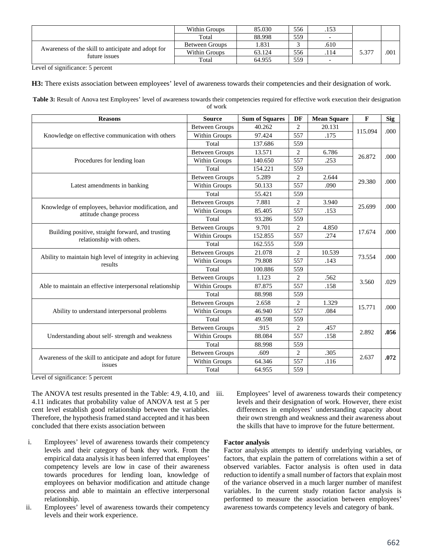|                                                    | Within Groups         | 85.030 | 556 | .153                     |       |      |
|----------------------------------------------------|-----------------------|--------|-----|--------------------------|-------|------|
|                                                    | Total                 | 88.998 | 559 | $\overline{\phantom{a}}$ |       |      |
|                                                    | <b>Between Groups</b> | l.831  |     | .610                     |       |      |
| Awareness of the skill to anticipate and adopt for | Within Groups         | 63.124 | 556 | .114                     | 5.377 | .001 |
| future issues                                      | Total                 | 64.955 | 559 | $\overline{\phantom{a}}$ |       |      |

Level of significance: 5 percent

**H3:** There exists association between employees' level of awareness towards their competencies and their designation of work.

Table 3: Result of Anova test Employees' level of awareness towards their competencies required for effective work execution their designation of work

| <b>Reasons</b>                                                                 | <b>Source</b>         | <b>Sum of Squares</b> | DF             | <b>Mean Square</b> | $\mathbf F$ | <b>Sig</b> |
|--------------------------------------------------------------------------------|-----------------------|-----------------------|----------------|--------------------|-------------|------------|
|                                                                                | <b>Between Groups</b> | 40.262                | $\overline{2}$ | 20.131             |             | .000       |
| Knowledge on effective communication with others                               | Within Groups         | 97.424                | 557            | .175               | 115.094     |            |
|                                                                                | Total                 | 137.686               | 559            |                    |             |            |
|                                                                                | <b>Between Groups</b> | 13.571                | $\overline{c}$ | 6.786              |             |            |
| Procedures for lending loan                                                    | Within Groups         | 140.650               | 557            | .253               | 26.872      | .000       |
|                                                                                | Total                 | 154.221               | 559            |                    |             |            |
|                                                                                | <b>Between Groups</b> | 5.289                 | $\overline{2}$ | 2.644              |             |            |
| Latest amendments in banking                                                   | Within Groups         | 50.133                | 557            | .090               | 29.380      | .000       |
|                                                                                | Total                 | 55.421                | 559            |                    |             |            |
|                                                                                | <b>Between Groups</b> | 7.881                 | $\overline{2}$ | 3.940              |             |            |
| Knowledge of employees, behavior modification, and<br>attitude change process  | Within Groups         | 85.405                | 557            | .153               | 25.699      | .000       |
|                                                                                | Total                 | 93.286                | 559            |                    |             |            |
| Building positive, straight forward, and trusting<br>relationship with others. | <b>Between Groups</b> | 9.701                 | $\overline{2}$ | 4.850              | 17.674      | .000       |
|                                                                                | Within Groups         | 152.855               | 557            | .274               |             |            |
|                                                                                | Total                 | 162.555               | 559            |                    |             |            |
|                                                                                | <b>Between Groups</b> | 21.078                | $\overline{c}$ | 10.539             |             |            |
| Ability to maintain high level of integrity in achieving<br>results            | Within Groups         | 79.808                | 557            | .143               | 73.554      | .000       |
|                                                                                | Total                 | 100.886               | 559            |                    |             |            |
|                                                                                | <b>Between Groups</b> | 1.123                 | $\overline{2}$ | .562               |             |            |
| Able to maintain an effective interpersonal relationship                       | Within Groups         | 87.875                | 557            | .158               | 3.560       | .029       |
|                                                                                | Total                 | 88.998                | 559            |                    |             |            |
|                                                                                | <b>Between Groups</b> | 2.658                 | $\overline{2}$ | 1.329              |             |            |
| Ability to understand interpersonal problems                                   | Within Groups         | 46.940                | 557            | .084               | 15.771      | .000       |
|                                                                                | Total                 | 49.598                | 559            |                    |             |            |
| Understanding about self- strength and weakness                                | <b>Between Groups</b> | .915                  | $\overline{2}$ | .457               |             |            |
|                                                                                | Within Groups         | 88.084                | 557            | .158               | 2.892       | .056       |
|                                                                                | Total                 | 88.998                | 559            |                    |             |            |
|                                                                                | <b>Between Groups</b> | .609                  | $\overline{2}$ | .305               |             |            |
| Awareness of the skill to anticipate and adopt for future<br>issues            | Within Groups         | 64.346                | 557            | .116               | 2.637       | .072       |
|                                                                                | Total                 | 64.955                | 559            |                    |             |            |

Level of significance: 5 percent

The ANOVA test results presented in the Table: 4.9, 4.10, and iii. 4.11 indicates that probability value of ANOVA test at 5 per cent level establish good relationship between the variables. Therefore, the hypothesis framed stand accepted and it has been concluded that there exists association between

- i. Employees' level of awareness towards their competency levels and their category of bank they work. From the empirical data analysis it has been inferred that employees' competency levels are low in case of their awareness towards procedures for lending loan, knowledge of employees on behavior modification and attitude change process and able to maintain an effective interpersonal relationship.
- ii. Employees' level of awareness towards their competency levels and their work experience.

Employees' level of awareness towards their competency levels and their designation of work. However, there exist differences in employees' understanding capacity about their own strength and weakness and their awareness about the skills that have to improve for the future betterment.

# **Factor analysis**

Factor analysis attempts to identify underlying variables, or factors, that explain the pattern of correlations within a set of observed variables. Factor analysis is often used in data reduction to identify a small number of factors that explain most of the variance observed in a much larger number of manifest variables. In the current study rotation factor analysis is performed to measure the association between employees' awareness towards competency levels and category of bank.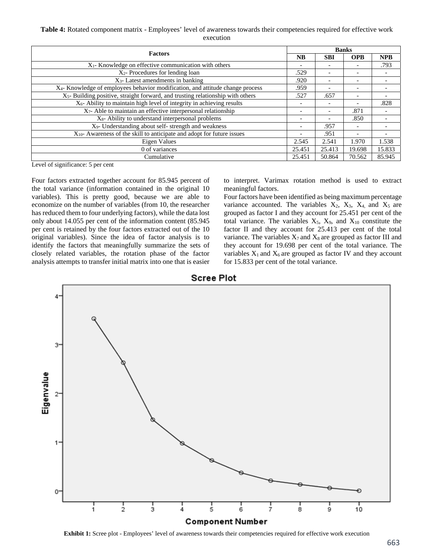# **Table 4:** Rotated component matrix - Employees' level of awareness towards their competencies required for effective work execution

|                                                                                           | <b>Banks</b>             |                          |                          |            |  |
|-------------------------------------------------------------------------------------------|--------------------------|--------------------------|--------------------------|------------|--|
| <b>Factors</b>                                                                            |                          | <b>SBI</b>               | <b>OPB</b>               | <b>NPB</b> |  |
| X <sub>1</sub> - Knowledge on effective communication with others                         | $\overline{\phantom{a}}$ |                          |                          | .793       |  |
| X <sub>2</sub> - Procedures for lending loan                                              | .529                     | $\overline{\phantom{a}}$ | -                        |            |  |
| X <sub>3</sub> - Latest amendments in banking                                             | .920                     | $\overline{\phantom{0}}$ | $\overline{\phantom{0}}$ |            |  |
| X <sub>4</sub> -Knowledge of employees behavior modification, and attitude change process | .959                     |                          |                          |            |  |
| $X5$ - Building positive, straight forward, and trusting relationship with others         | .527                     | .657                     | $\overline{\phantom{0}}$ |            |  |
| $X_6$ - Ability to maintain high level of integrity in achieving results                  |                          | $\overline{\phantom{0}}$ |                          | .828       |  |
| $X_7$ - Able to maintain an effective interpersonal relationship                          |                          | $\overline{\phantom{0}}$ | .871                     |            |  |
| $X_8$ - Ability to understand interpersonal problems                                      |                          | $\overline{\phantom{0}}$ | .850                     |            |  |
| X <sub>9</sub> - Understanding about self- strength and weakness                          |                          | .957                     | $\overline{\phantom{a}}$ |            |  |
| $X_{10}$ - Awareness of the skill to anticipate and adopt for future issues               |                          | .951                     | $\overline{\phantom{0}}$ |            |  |
| Eigen Values                                                                              |                          | 2.541                    | 1.970                    | 1.538      |  |
| 0 of variances                                                                            |                          | 25.413                   | 19.698                   | 15.833     |  |
| Cumulative                                                                                | 25.451                   | 50.864                   | 70.562                   | 85.945     |  |

Level of significance: 5 per cent

Four factors extracted together account for 85.945 percent of the total variance (information contained in the original 10 variables). This is pretty good, because we are able to economize on the number of variables (from 10, the researcher has reduced them to four underlying factors), while the data lost only about 14.055 per cent of the information content (85.945 per cent is retained by the four factors extracted out of the 10 original variables). Since the idea of factor analysis is to identify the factors that meaningfully summarize the sets of closely related variables, the rotation phase of the factor analysis attempts to transfer initial matrix into one that is easier

to interpret. Varimax rotation method is used to extract meaningful factors.

Four factors have been identified as being maximum percentage variance accounted. The variables  $X_2$ ,  $X_3$ ,  $X_4$  and  $X_5$  are grouped as factor I and they account for 25.451 per cent of the total variance. The variables  $X_5$ ,  $X_9$ , and  $X_{10}$  constitute the factor II and they account for 25.413 per cent of the total variance. The variables  $X_7$  and  $X_8$  are grouped as factor III and they account for 19.698 per cent of the total variance. The variables  $X_1$  and  $X_6$  are grouped as factor IV and they account for 15.833 per cent of the total variance.



Component Number

**Exhibit 1:** Scree plot - Employees' level of awareness towards their competencies required for effective work execution